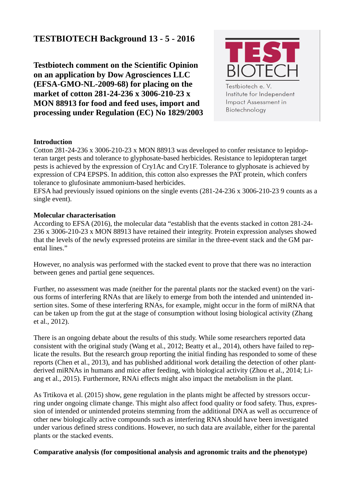# **TESTBIOTECH Background 13 - 5 - 2016**

**Testbiotech comment on the Scientific Opinion on an application by Dow Agrosciences LLC (EFSA-GMO-NL-2009-68) for placing on the market of cotton 281-24-236 x 3006-210-23 x MON 88913 for food and feed uses, import and processing under Regulation (EC) No 1829/2003**



Testbiotech e.V. Institute for Independent Impact Assessment in Biotechnology

#### **Introduction**

Cotton 281-24-236 x 3006-210-23 x MON 88913 was developed to confer resistance to lepidopteran target pests and tolerance to glyphosate-based herbicides. Resistance to lepidopteran target pests is achieved by the expression of Cry1Ac and Cry1F. Tolerance to glyphosate is achieved by expression of CP4 EPSPS. In addition, this cotton also expresses the PAT protein, which confers tolerance to glufosinate ammonium-based herbicides.

EFSA had previously issued opinions on the single events (281-24-236 x 3006-210-23 9 counts as a single event).

## **Molecular characterisation**

According to EFSA (2016), the molecular data "establish that the events stacked in cotton 281-24- 236 x 3006-210-23 x MON 88913 have retained their integrity. Protein expression analyses showed that the levels of the newly expressed proteins are similar in the three-event stack and the GM parental lines."

However, no analysis was performed with the stacked event to prove that there was no interaction between genes and partial gene sequences.

Further, no assessment was made (neither for the parental plants nor the stacked event) on the various forms of interfering RNAs that are likely to emerge from both the intended and unintended insertion sites. Some of these interfering RNAs, for example, might occur in the form of miRNA that can be taken up from the gut at the stage of consumption without losing biological activity (Zhang et al., 2012).

There is an ongoing debate about the results of this study. While some researchers reported data consistent with the original study (Wang et al., 2012; Beatty et al., 2014), others have failed to replicate the results. But the research group reporting the initial finding has responded to some of these reports (Chen et al., 2013), and has published additional work detailing the detection of other plantderived miRNAs in humans and mice after feeding, with biological activity (Zhou et al., 2014; Liang et al., 2015). Furthermore, RNAi effects might also impact the metabolism in the plant.

As Trtikova et al. (2015) show, gene regulation in the plants might be affected by stressors occurring under ongoing climate change. This might also affect food quality or food safety. Thus, expression of intended or unintended proteins stemming from the additional DNA as well as occurrence of other new biologically active compounds such as interfering RNA should have been investigated under various defined stress conditions. However, no such data are available, either for the parental plants or the stacked events.

# **Comparative analysis (for compositional analysis and agronomic traits and the phenotype)**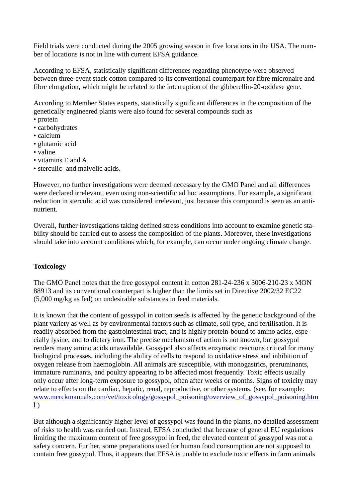Field trials were conducted during the 2005 growing season in five locations in the USA. The number of locations is not in line with current EFSA guidance.

According to EFSA, statistically significant differences regarding phenotype were observed between three-event stack cotton compared to its conventional counterpart for fibre micronaire and fibre elongation, which might be related to the interruption of the gibberellin-20-oxidase gene.

According to Member States experts, statistically significant differences in the composition of the genetically engineered plants were also found for several compounds such as

- protein
- carbohydrates
- calcium
- glutamic acid
- valine
- vitamins E and A
- sterculic- and malvelic acids.

However, no further investigations were deemed necessary by the GMO Panel and all differences were declared irrelevant, even using non-scientific ad hoc assumptions. For example, a significant reduction in sterculic acid was considered irrelevant, just because this compound is seen as an antinutrient.

Overall, further investigations taking defined stress conditions into account to examine genetic stability should be carried out to assess the composition of the plants. Moreover, these investigations should take into account conditions which, for example, can occur under ongoing climate change.

# **Toxicology**

The GMO Panel notes that the free gossypol content in cotton 281-24-236 x 3006-210-23 x MON 88913 and its conventional counterpart is higher than the limits set in Directive 2002/32 EC22 (5,000 mg/kg as fed) on undesirable substances in feed materials.

It is known that the content of gossypol in cotton seeds is affected by the genetic background of the plant variety as well as by environmental factors such as climate, soil type, and fertilisation. It is readily absorbed from the gastrointestinal tract, and is highly protein-bound to amino acids, especially lysine, and to dietary iron. The precise mechanism of action is not known, but gossypol renders many amino acids unavailable. Gossypol also affects enzymatic reactions critical for many biological processes, including the ability of cells to respond to oxidative stress and inhibition of oxygen release from haemoglobin. All animals are susceptible, with monogastrics, preruminants, immature ruminants, and poultry appearing to be affected most frequently. Toxic effects usually only occur after long-term exposure to gossypol, often after weeks or months. Signs of toxicity may relate to effects on the cardiac, hepatic, renal, reproductive, or other systems. (see, for example: [www.merckmanuals.com/vet/toxicology/gossypol\\_poisoning/overview\\_of\\_gossypol\\_poisoning.htm](http://www.merckmanuals.com/vet/toxicology/gossypol_poisoning/overview_of_gossypol_poisoning.html)  $\left| \right|$ 

But although a significantly higher level of gossypol was found in the plants, no detailed assessment of risks to health was carried out. Instead, EFSA concluded that because of general EU regulations limiting the maximum content of free gossypol in feed, the elevated content of gossypol was not a safety concern. Further, some preparations used for human food consumption are not supposed to contain free gossypol. Thus, it appears that EFSA is unable to exclude toxic effects in farm animals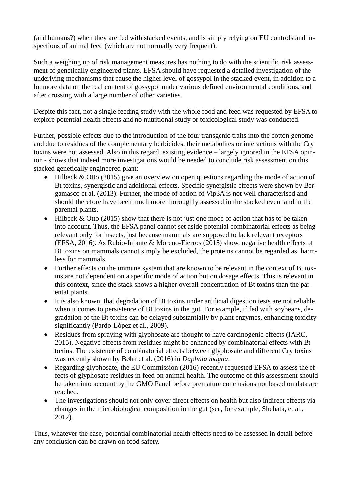(and humans?) when they are fed with stacked events, and is simply relying on EU controls and inspections of animal feed (which are not normally very frequent).

Such a weighing up of risk management measures has nothing to do with the scientific risk assessment of genetically engineered plants. EFSA should have requested a detailed investigation of the underlying mechanisms that cause the higher level of gossypol in the stacked event, in addition to a lot more data on the real content of gossypol under various defined environmental conditions, and after crossing with a large number of other varieties.

Despite this fact, not a single feeding study with the whole food and feed was requested by EFSA to explore potential health effects and no nutritional study or toxicological study was conducted.

Further, possible effects due to the introduction of the four transgenic traits into the cotton genome and due to residues of the complementary herbicides, their metabolites or interactions with the Cry toxins were not assessed. Also in this regard, existing evidence – largely ignored in the EFSA opinion - shows that indeed more investigations would be needed to conclude risk assessment on this stacked genetically engineered plant:

- Hilbeck & Otto (2015) give an overview on open questions regarding the mode of action of Bt toxins, synergistic and additional effects. Specific synergistic effects were shown by Bergamasco et al. (2013). Further, the mode of action of Vip3A is not well characterised and should therefore have been much more thoroughly assessed in the stacked event and in the parental plants.
- Hilbeck & Otto (2015) show that there is not just one mode of action that has to be taken into account. Thus, the EFSA panel cannot set aside potential combinatorial effects as being relevant only for insects, just because mammals are supposed to lack relevant receptors (EFSA, 2016). As Rubio-Infante & Moreno-Fierros (2015) show, negative health effects of Bt toxins on mammals cannot simply be excluded, the proteins cannot be regarded as harmless for mammals.
- Further effects on the immune system that are known to be relevant in the context of Bt toxins are not dependent on a specific mode of action but on dosage effects. This is relevant in this context, since the stack shows a higher overall concentration of Bt toxins than the parental plants.
- It is also known, that degradation of Bt toxins under artificial digestion tests are not reliable when it comes to persistence of Bt toxins in the gut. For example, if fed with soybeans, degradation of the Bt toxins can be delayed substantially by plant enzymes, enhancing toxicity significantly (Pardo-López et al., 2009).
- Residues from spraying with glyphosate are thought to have carcinogenic effects (IARC, 2015). Negative effects from residues might be enhanced by combinatorial effects with Bt toxins. The existence of combinatorial effects between glyphosate and different Cry toxins was recently shown by Bøhn et al. (2016) in *Daphnia magna*.
- Regarding glyphosate, the EU Commission (2016) recently requested EFSA to assess the effects of glyphosate residues in feed on animal health. The outcome of this assessment should be taken into account by the GMO Panel before premature conclusions not based on data are reached.
- The investigations should not only cover direct effects on health but also indirect effects via changes in the microbiological composition in the gut (see, for example, Shehata, et al., 2012).

Thus, whatever the case, potential combinatorial health effects need to be assessed in detail before any conclusion can be drawn on food safety.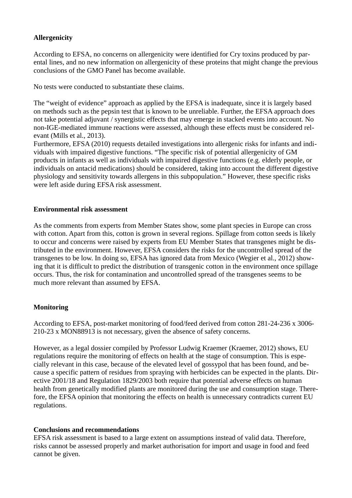# **Allergenicity**

According to EFSA, no concerns on allergenicity were identified for Cry toxins produced by parental lines, and no new information on allergenicity of these proteins that might change the previous conclusions of the GMO Panel has become available.

No tests were conducted to substantiate these claims.

The "weight of evidence" approach as applied by the EFSA is inadequate, since it is largely based on methods such as the pepsin test that is known to be unreliable. Further, the EFSA approach does not take potential adjuvant / synergistic effects that may emerge in stacked events into account. No non-IGE-mediated immune reactions were assessed, although these effects must be considered relevant (Mills et al., 2013).

Furthermore, EFSA (2010) requests detailed investigations into allergenic risks for infants and individuals with impaired digestive functions. "The specific risk of potential allergenicity of GM products in infants as well as individuals with impaired digestive functions (e.g. elderly people, or individuals on antacid medications) should be considered, taking into account the different digestive physiology and sensitivity towards allergens in this subpopulation." However, these specific risks were left aside during EFSA risk assessment.

## **Environmental risk assessment**

As the comments from experts from Member States show, some plant species in Europe can cross with cotton. Apart from this, cotton is grown in several regions. Spillage from cotton seeds is likely to occur and concerns were raised by experts from EU Member States that transgenes might be distributed in the environment. However, EFSA considers the risks for the uncontrolled spread of the transgenes to be low. In doing so, EFSA has ignored data from Mexico (Wegier et al., 2012) showing that it is difficult to predict the distribution of transgenic cotton in the environment once spillage occurs. Thus, the risk for contamination and uncontrolled spread of the transgenes seems to be much more relevant than assumed by EFSA.

# **Monitoring**

According to EFSA, post-market monitoring of food/feed derived from cotton 281-24-236 x 3006- 210-23 x MON88913 is not necessary, given the absence of safety concerns.

However, as a legal dossier compiled by Professor Ludwig Kraemer (Kraemer, 2012) shows, EU regulations require the monitoring of effects on health at the stage of consumption. This is especially relevant in this case, because of the elevated level of gossypol that has been found, and because a specific pattern of residues from spraying with herbicides can be expected in the plants. Directive 2001/18 and Regulation 1829/2003 both require that potential adverse effects on human health from genetically modified plants are monitored during the use and consumption stage. Therefore, the EFSA opinion that monitoring the effects on health is unnecessary contradicts current EU regulations.

# **Conclusions and recommendations**

EFSA risk assessment is based to a large extent on assumptions instead of valid data. Therefore, risks cannot be assessed properly and market authorisation for import and usage in food and feed cannot be given.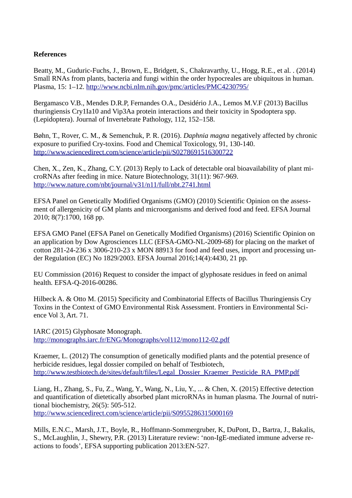# **References**

Beatty, M., Guduric-Fuchs, J., Brown, E., Bridgett, S., Chakravarthy, U., Hogg, R.E., et al. . (2014) Small RNAs from plants, bacteria and fungi within the order hypocreales are ubiquitous in human. Plasma, 15: 1–12.<http://www.ncbi.nlm.nih.gov/pmc/articles/PMC4230795/>

Bergamasco V.B., Mendes D.R.P, Fernandes O.A., Desidério J.A., Lemos M.V.F (2013) Bacillus thuringiensis Cry1Ia10 and Vip3Aa protein interactions and their toxicity in Spodoptera spp. (Lepidoptera). Journal of Invertebrate Pathology, 112, 152–158.

Bøhn, T., Rover, C. M., & Semenchuk, P. R. (2016). *Daphnia magna* negatively affected by chronic exposure to purified Cry-toxins. Food and Chemical Toxicology, 91, 130-140. <http://www.sciencedirect.com/science/article/pii/S0278691516300722>

Chen, X., Zen, K., Zhang, C.Y. (2013) Reply to Lack of detectable oral bioavailability of plant microRNAs after feeding in mice. Nature Biotechnology, 31(11): 967-969. <http://www.nature.com/nbt/journal/v31/n11/full/nbt.2741.html>

EFSA Panel on Genetically Modified Organisms (GMO) (2010) Scientific Opinion on the assessment of allergenicity of GM plants and microorganisms and derived food and feed. EFSA Journal 2010; 8(7):1700, 168 pp.

EFSA GMO Panel (EFSA Panel on Genetically Modified Organisms) (2016) Scientific Opinion on an application by Dow Agrosciences LLC (EFSA-GMO-NL-2009-68) for placing on the market of cotton 281-24-236 x 3006-210-23 x MON 88913 for food and feed uses, import and processing under Regulation (EC) No 1829/2003. EFSA Journal 2016;14(4):4430, 21 pp.

EU Commission (2016) Request to consider the impact of glyphosate residues in feed on animal health. EFSA-Q-2016-00286.

Hilbeck A. & Otto M. (2015) Specificity and Combinatorial Effects of Bacillus Thuringiensis Cry Toxins in the Context of GMO Environmental Risk Assessment. Frontiers in Environmental Science Vol 3, Art. 71.

IARC (2015) Glyphosate Monograph. <http://monographs.iarc.fr/ENG/Monographs/vol112/mono112-02.pdf>

Kraemer, L. (2012) The consumption of genetically modified plants and the potential presence of herbicide residues, legal dossier compiled on behalf of Testbiotech, [http://www.testbiotech.de/sites/default/files/Legal\\_Dossier\\_Kraemer\\_Pesticide\\_RA\\_PMP.pdf](http://www.testbiotech.de/sites/default/files/Legal_Dossier_Kraemer_Pesticide_RA_PMP.pdf)

Liang, H., Zhang, S., Fu, Z., Wang, Y., Wang, N., Liu, Y., ... & Chen, X. (2015) Effective detection and quantification of dietetically absorbed plant microRNAs in human plasma. The Journal of nutritional biochemistry, 26(5): 505-512. <http://www.sciencedirect.com/science/article/pii/S0955286315000169>

Mills, E.N.C., Marsh, J.T., Boyle, R., Hoffmann-Sommergruber, K, DuPont, D., Bartra, J., Bakalis, S., McLaughlin, J., Shewry, P.R. (2013) Literature review: 'non-IgE-mediated immune adverse reactions to foods', EFSA supporting publication 2013:EN-527.